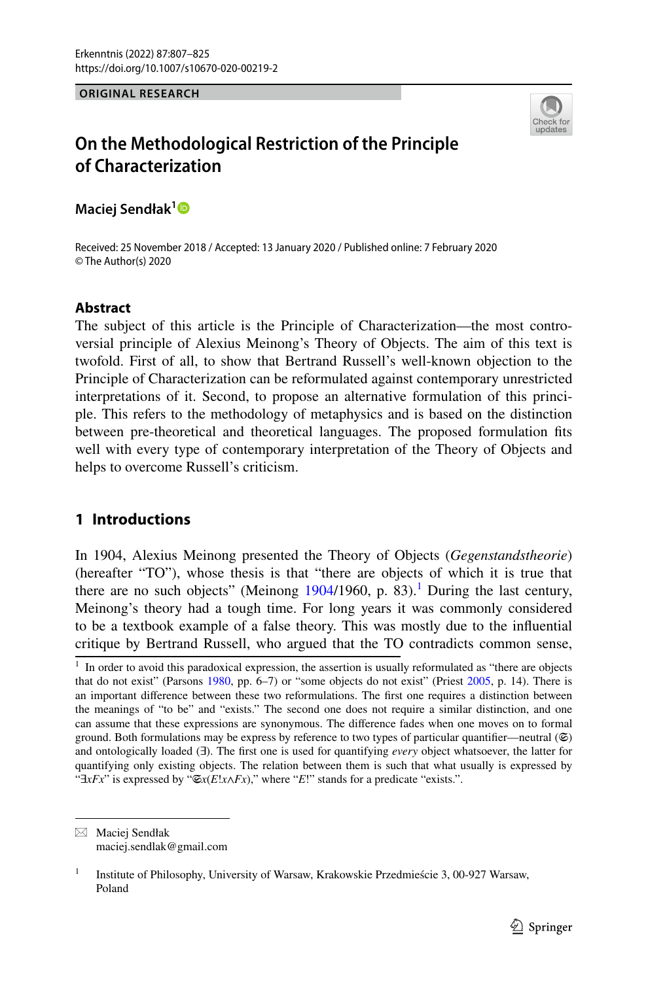#### **ORIGINAL RESEARCH**



# **On the Methodological Restriction of the Principle of Characterization**

**Maciej Sendłak[1](http://orcid.org/0000-0002-0539-5924)**

Received: 25 November 2018 / Accepted: 13 January 2020 / Published online: 7 February 2020 © The Author(s) 2020

# **Abstract**

The subject of this article is the Principle of Characterization—the most controversial principle of Alexius Meinong's Theory of Objects. The aim of this text is twofold. First of all, to show that Bertrand Russell's well-known objection to the Principle of Characterization can be reformulated against contemporary unrestricted interpretations of it. Second, to propose an alternative formulation of this principle. This refers to the methodology of metaphysics and is based on the distinction between pre-theoretical and theoretical languages. The proposed formulation fts well with every type of contemporary interpretation of the Theory of Objects and helps to overcome Russell's criticism.

# **1 Introductions**

In 1904, Alexius Meinong presented the Theory of Objects (*Gegenstandstheorie*) (hereafter "TO"), whose thesis is that "there are objects of which it is true that there are no such objects" (Meinong  $1904/1960$  $1904/1960$  $1904/1960$ , p. 83).<sup>1</sup> During the last century, Meinong's theory had a tough time. For long years it was commonly considered to be a textbook example of a false theory. This was mostly due to the infuential critique by Bertrand Russell, who argued that the TO contradicts common sense,

 $\boxtimes$  Maciej Sendłak maciej.sendlak@gmail.com

<span id="page-0-0"></span> $1$  In order to avoid this paradoxical expression, the assertion is usually reformulated as "there are objects" that do not exist" (Parsons [1980](#page-17-1), pp. 6–7) or "some objects do not exist" (Priest [2005](#page-17-2), p. 14). There is an important diference between these two reformulations. The frst one requires a distinction between the meanings of "to be" and "exists." The second one does not require a similar distinction, and one can assume that these expressions are synonymous. The diference fades when one moves on to formal ground. Both formulations may be express by reference to two types of particular quantifier—neutral ( $\mathfrak{S}$ ) and ontologically loaded (∃). The frst one is used for quantifying *every* object whatsoever, the latter for quantifying only existing objects. The relation between them is such that what usually is expressed by " $\exists x Fx$ " is expressed by " $\mathfrak{S}_x(E!x \wedge Fx)$ ," where "*E*!" stands for a predicate "exists.".

<sup>&</sup>lt;sup>1</sup> Institute of Philosophy, University of Warsaw, Krakowskie Przedmieście 3, 00-927 Warsaw, Poland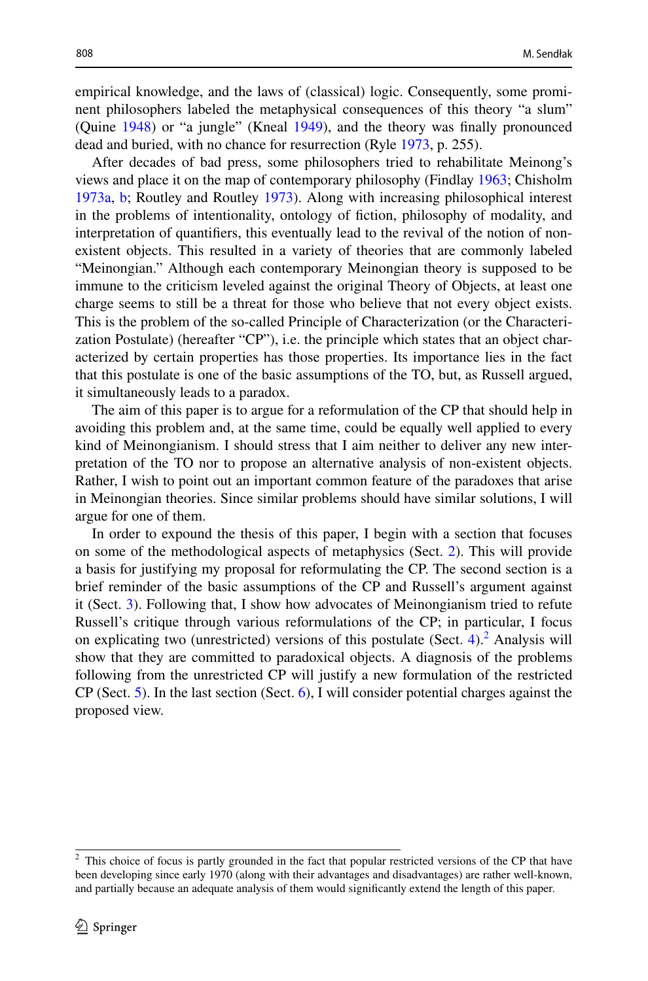empirical knowledge, and the laws of (classical) logic. Consequently, some prominent philosophers labeled the metaphysical consequences of this theory "a slum" (Quine [1948\)](#page-17-3) or "a jungle" (Kneal [1949](#page-16-0)), and the theory was fnally pronounced dead and buried, with no chance for resurrection (Ryle [1973,](#page-17-4) p. 255).

After decades of bad press, some philosophers tried to rehabilitate Meinong's views and place it on the map of contemporary philosophy (Findlay [1963](#page-16-1); Chisholm [1973a](#page-16-2), [b](#page-16-3); Routley and Routley [1973\)](#page-17-5). Along with increasing philosophical interest in the problems of intentionality, ontology of fction, philosophy of modality, and interpretation of quantifers, this eventually lead to the revival of the notion of nonexistent objects. This resulted in a variety of theories that are commonly labeled "Meinongian." Although each contemporary Meinongian theory is supposed to be immune to the criticism leveled against the original Theory of Objects, at least one charge seems to still be a threat for those who believe that not every object exists. This is the problem of the so-called Principle of Characterization (or the Characterization Postulate) (hereafter "CP"), i.e. the principle which states that an object characterized by certain properties has those properties. Its importance lies in the fact that this postulate is one of the basic assumptions of the TO, but, as Russell argued, it simultaneously leads to a paradox.

The aim of this paper is to argue for a reformulation of the CP that should help in avoiding this problem and, at the same time, could be equally well applied to every kind of Meinongianism. I should stress that I aim neither to deliver any new interpretation of the TO nor to propose an alternative analysis of non-existent objects. Rather, I wish to point out an important common feature of the paradoxes that arise in Meinongian theories. Since similar problems should have similar solutions, I will argue for one of them.

In order to expound the thesis of this paper, I begin with a section that focuses on some of the methodological aspects of metaphysics (Sect. [2](#page-2-0)). This will provide a basis for justifying my proposal for reformulating the CP. The second section is a brief reminder of the basic assumptions of the CP and Russell's argument against it (Sect. [3\)](#page-4-0). Following that, I show how advocates of Meinongianism tried to refute Russell's critique through various reformulations of the CP; in particular, I focus on explicating two (unrestricted) versions of this postulate (Sect.  $4$ ).<sup>[2](#page-1-0)</sup> Analysis will show that they are committed to paradoxical objects. A diagnosis of the problems following from the unrestricted CP will justify a new formulation of the restricted  $CP$  (Sect. [5](#page-10-0)). In the last section (Sect. [6](#page-12-0)), I will consider potential charges against the proposed view.

<span id="page-1-0"></span><sup>&</sup>lt;sup>2</sup> This choice of focus is partly grounded in the fact that popular restricted versions of the CP that have been developing since early 1970 (along with their advantages and disadvantages) are rather well-known, and partially because an adequate analysis of them would signifcantly extend the length of this paper.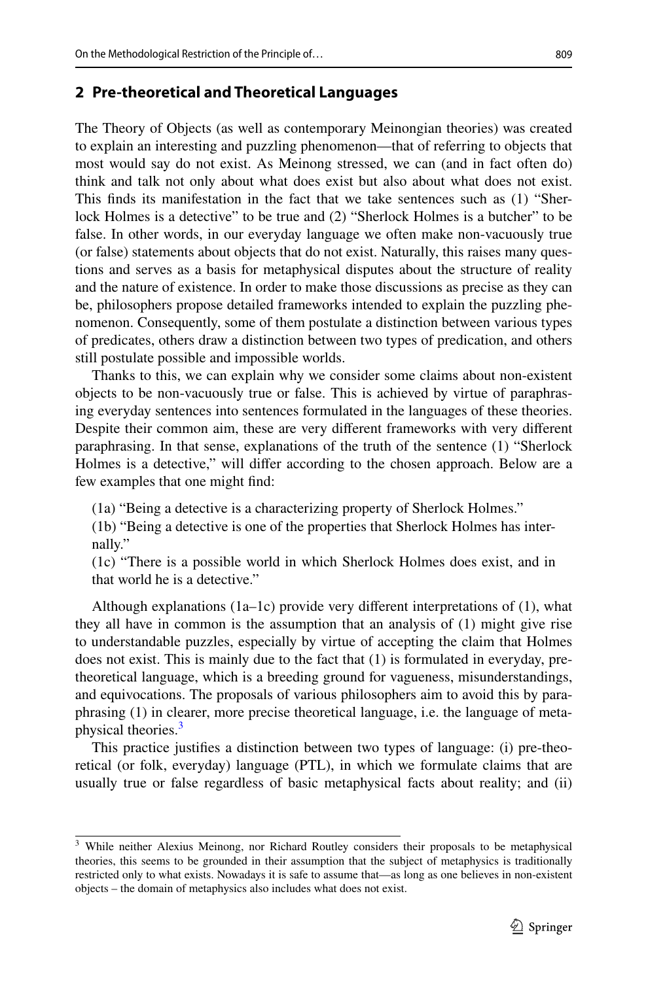# <span id="page-2-0"></span>**2 Pre‑theoretical and Theoretical Languages**

The Theory of Objects (as well as contemporary Meinongian theories) was created to explain an interesting and puzzling phenomenon—that of referring to objects that most would say do not exist. As Meinong stressed, we can (and in fact often do) think and talk not only about what does exist but also about what does not exist. This fnds its manifestation in the fact that we take sentences such as (1) "Sherlock Holmes is a detective" to be true and (2) "Sherlock Holmes is a butcher" to be false. In other words, in our everyday language we often make non-vacuously true (or false) statements about objects that do not exist. Naturally, this raises many questions and serves as a basis for metaphysical disputes about the structure of reality and the nature of existence. In order to make those discussions as precise as they can be, philosophers propose detailed frameworks intended to explain the puzzling phenomenon. Consequently, some of them postulate a distinction between various types of predicates, others draw a distinction between two types of predication, and others still postulate possible and impossible worlds.

Thanks to this, we can explain why we consider some claims about non-existent objects to be non-vacuously true or false. This is achieved by virtue of paraphrasing everyday sentences into sentences formulated in the languages of these theories. Despite their common aim, these are very diferent frameworks with very diferent paraphrasing. In that sense, explanations of the truth of the sentence (1) "Sherlock Holmes is a detective," will difer according to the chosen approach. Below are a few examples that one might fnd:

(1a) "Being a detective is a characterizing property of Sherlock Holmes."

(1b) "Being a detective is one of the properties that Sherlock Holmes has internally."

(1c) "There is a possible world in which Sherlock Holmes does exist, and in that world he is a detective."

Although explanations  $(1a-1c)$  provide very different interpretations of  $(1)$ , what they all have in common is the assumption that an analysis of (1) might give rise to understandable puzzles, especially by virtue of accepting the claim that Holmes does not exist. This is mainly due to the fact that (1) is formulated in everyday, pretheoretical language, which is a breeding ground for vagueness, misunderstandings, and equivocations. The proposals of various philosophers aim to avoid this by paraphrasing (1) in clearer, more precise theoretical language, i.e. the language of meta-physical theories.<sup>[3](#page-2-1)</sup>

This practice justifes a distinction between two types of language: (i) pre-theoretical (or folk, everyday) language (PTL), in which we formulate claims that are usually true or false regardless of basic metaphysical facts about reality; and (ii)

<span id="page-2-1"></span><sup>&</sup>lt;sup>3</sup> While neither Alexius Meinong, nor Richard Routley considers their proposals to be metaphysical theories, this seems to be grounded in their assumption that the subject of metaphysics is traditionally restricted only to what exists. Nowadays it is safe to assume that—as long as one believes in non-existent objects – the domain of metaphysics also includes what does not exist.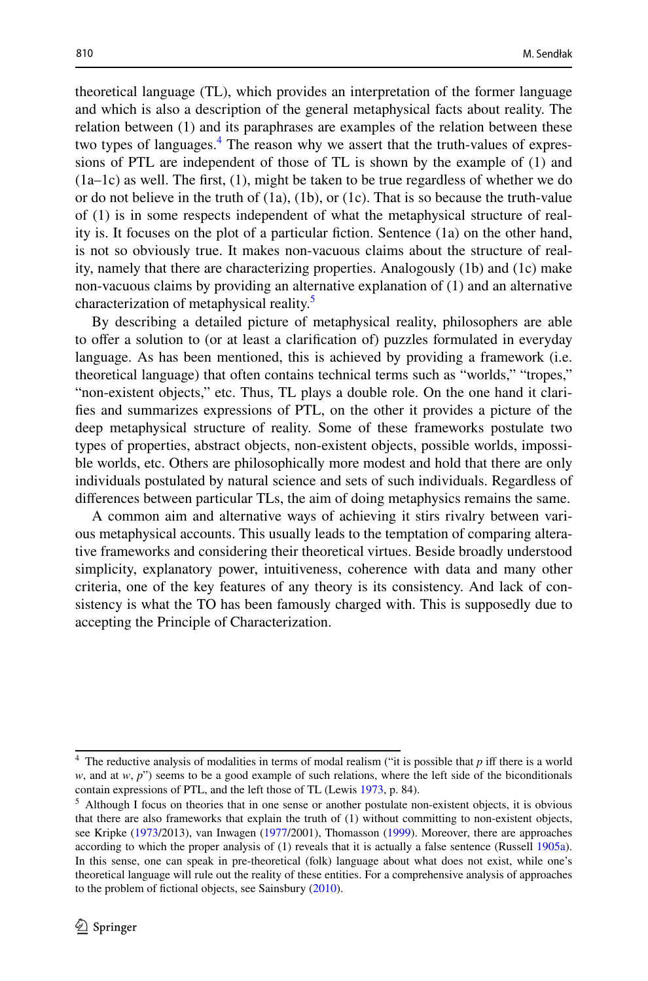theoretical language (TL), which provides an interpretation of the former language and which is also a description of the general metaphysical facts about reality. The relation between (1) and its paraphrases are examples of the relation between these two types of languages.<sup>[4](#page-3-0)</sup> The reason why we assert that the truth-values of expressions of PTL are independent of those of TL is shown by the example of (1) and  $(1a-1c)$  as well. The first,  $(1)$ , might be taken to be true regardless of whether we do or do not believe in the truth of  $(1a)$ ,  $(1b)$ , or  $(1c)$ . That is so because the truth-value of (1) is in some respects independent of what the metaphysical structure of reality is. It focuses on the plot of a particular fction. Sentence (1a) on the other hand, is not so obviously true. It makes non-vacuous claims about the structure of reality, namely that there are characterizing properties. Analogously (1b) and (1c) make non-vacuous claims by providing an alternative explanation of (1) and an alternative characterization of metaphysical reality.<sup>[5](#page-3-1)</sup>

By describing a detailed picture of metaphysical reality, philosophers are able to ofer a solution to (or at least a clarifcation of) puzzles formulated in everyday language. As has been mentioned, this is achieved by providing a framework (i.e. theoretical language) that often contains technical terms such as "worlds," "tropes," "non-existent objects," etc. Thus, TL plays a double role. On the one hand it clarifes and summarizes expressions of PTL, on the other it provides a picture of the deep metaphysical structure of reality. Some of these frameworks postulate two types of properties, abstract objects, non-existent objects, possible worlds, impossible worlds, etc. Others are philosophically more modest and hold that there are only individuals postulated by natural science and sets of such individuals. Regardless of diferences between particular TLs, the aim of doing metaphysics remains the same.

A common aim and alternative ways of achieving it stirs rivalry between various metaphysical accounts. This usually leads to the temptation of comparing alterative frameworks and considering their theoretical virtues. Beside broadly understood simplicity, explanatory power, intuitiveness, coherence with data and many other criteria, one of the key features of any theory is its consistency. And lack of consistency is what the TO has been famously charged with. This is supposedly due to accepting the Principle of Characterization.

<span id="page-3-0"></span> $4$  The reductive analysis of modalities in terms of modal realism ("it is possible that  $p$  iff there is a world *w*, and at *w*, *p*") seems to be a good example of such relations, where the left side of the biconditionals contain expressions of PTL, and the left those of TL (Lewis [1973](#page-17-6), p. 84).

<span id="page-3-1"></span> $<sup>5</sup>$  Although I focus on theories that in one sense or another postulate non-existent objects, it is obvious</sup> that there are also frameworks that explain the truth of (1) without committing to non-existent objects, see Kripke [\(1973](#page-17-7)/2013), van Inwagen [\(1977](#page-17-8)/2001), Thomasson ([1999\)](#page-17-9). Moreover, there are approaches according to which the proper analysis of (1) reveals that it is actually a false sentence (Russell [1905a\)](#page-17-10). In this sense, one can speak in pre-theoretical (folk) language about what does not exist, while one's theoretical language will rule out the reality of these entities. For a comprehensive analysis of approaches to the problem of fctional objects, see Sainsbury [\(2010](#page-17-11)).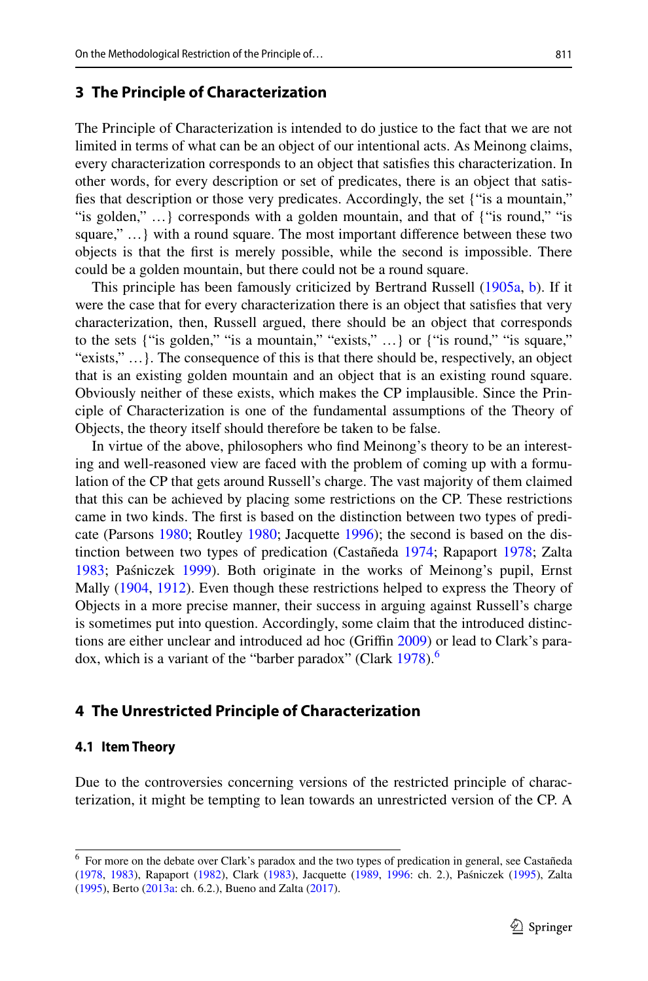# <span id="page-4-0"></span>**3 The Principle of Characterization**

The Principle of Characterization is intended to do justice to the fact that we are not limited in terms of what can be an object of our intentional acts. As Meinong claims, every characterization corresponds to an object that satisfes this characterization. In other words, for every description or set of predicates, there is an object that satisfes that description or those very predicates. Accordingly, the set {"is a mountain," "is golden," …} corresponds with a golden mountain, and that of {"is round," "is square," …} with a round square. The most important diference between these two objects is that the frst is merely possible, while the second is impossible. There could be a golden mountain, but there could not be a round square.

This principle has been famously criticized by Bertrand Russell ([1905a](#page-17-10), [b\)](#page-17-12). If it were the case that for every characterization there is an object that satisfes that very characterization, then, Russell argued, there should be an object that corresponds to the sets {"is golden," "is a mountain," "exists," …} or {"is round," "is square," "exists," …}. The consequence of this is that there should be, respectively, an object that is an existing golden mountain and an object that is an existing round square. Obviously neither of these exists, which makes the CP implausible. Since the Principle of Characterization is one of the fundamental assumptions of the Theory of Objects, the theory itself should therefore be taken to be false.

In virtue of the above, philosophers who fnd Meinong's theory to be an interesting and well-reasoned view are faced with the problem of coming up with a formulation of the CP that gets around Russell's charge. The vast majority of them claimed that this can be achieved by placing some restrictions on the CP. These restrictions came in two kinds. The frst is based on the distinction between two types of predicate (Parsons [1980;](#page-17-1) Routley [1980;](#page-17-13) Jacquette [1996\)](#page-16-4); the second is based on the distinction between two types of predication (Castañeda [1974](#page-16-5); Rapaport [1978](#page-17-14); Zalta [1983](#page-17-15); Paśniczek [1999\)](#page-17-16). Both originate in the works of Meinong's pupil, Ernst Mally ([1904,](#page-17-17) [1912](#page-17-18)). Even though these restrictions helped to express the Theory of Objects in a more precise manner, their success in arguing against Russell's charge is sometimes put into question. Accordingly, some claim that the introduced distinc-tions are either unclear and introduced ad hoc (Griffin [2009\)](#page-16-6) or lead to Clark's para-dox, which is a variant of the "barber paradox" (Clark [1978\)](#page-16-7).<sup>[6](#page-4-2)</sup>

# <span id="page-4-1"></span>**4 The Unrestricted Principle of Characterization**

### **4.1 Item Theory**

Due to the controversies concerning versions of the restricted principle of characterization, it might be tempting to lean towards an unrestricted version of the CP. A

<span id="page-4-2"></span><sup>6</sup> For more on the debate over Clark's paradox and the two types of predication in general, see Castañeda ([1978,](#page-16-8) [1983\)](#page-16-9), Rapaport [\(1982](#page-17-19)), Clark ([1983\)](#page-16-10), Jacquette ([1989,](#page-16-11) [1996](#page-16-4): ch. 2.), Paśniczek ([1995\)](#page-17-20), Zalta ([1995\)](#page-17-21), Berto ([2013a:](#page-16-12) ch. 6.2.), Bueno and Zalta [\(2017](#page-16-13)).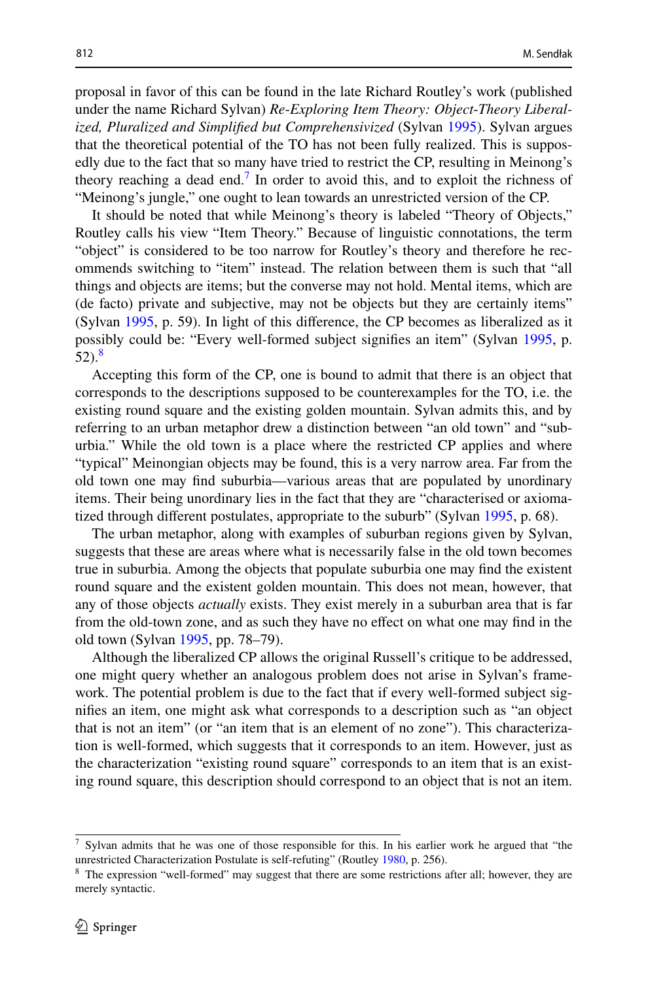proposal in favor of this can be found in the late Richard Routley's work (published under the name Richard Sylvan) *Re*-*Exploring Item Theory: Object*-*Theory Liberalized, Pluralized and Simplifed but Comprehensivized* (Sylvan [1995\)](#page-17-22). Sylvan argues that the theoretical potential of the TO has not been fully realized. This is supposedly due to the fact that so many have tried to restrict the CP, resulting in Meinong's theory reaching a dead end.<sup> $\prime$ </sup> In order to avoid this, and to exploit the richness of "Meinong's jungle," one ought to lean towards an unrestricted version of the CP.

It should be noted that while Meinong's theory is labeled "Theory of Objects," Routley calls his view "Item Theory." Because of linguistic connotations, the term "object" is considered to be too narrow for Routley's theory and therefore he recommends switching to "item" instead. The relation between them is such that "all things and objects are items; but the converse may not hold. Mental items, which are (de facto) private and subjective, may not be objects but they are certainly items" (Sylvan [1995,](#page-17-22) p. 59). In light of this diference, the CP becomes as liberalized as it possibly could be: "Every well-formed subject signifes an item" (Sylvan [1995,](#page-17-22) p. 52).[8](#page-5-1)

Accepting this form of the CP, one is bound to admit that there is an object that corresponds to the descriptions supposed to be counterexamples for the TO, i.e. the existing round square and the existing golden mountain. Sylvan admits this, and by referring to an urban metaphor drew a distinction between "an old town" and "suburbia." While the old town is a place where the restricted CP applies and where "typical" Meinongian objects may be found, this is a very narrow area. Far from the old town one may fnd suburbia—various areas that are populated by unordinary items. Their being unordinary lies in the fact that they are "characterised or axiomatized through diferent postulates, appropriate to the suburb" (Sylvan [1995](#page-17-22), p. 68).

The urban metaphor, along with examples of suburban regions given by Sylvan, suggests that these are areas where what is necessarily false in the old town becomes true in suburbia. Among the objects that populate suburbia one may fnd the existent round square and the existent golden mountain. This does not mean, however, that any of those objects *actually* exists. They exist merely in a suburban area that is far from the old-town zone, and as such they have no efect on what one may fnd in the old town (Sylvan [1995,](#page-17-22) pp. 78–79).

Although the liberalized CP allows the original Russell's critique to be addressed, one might query whether an analogous problem does not arise in Sylvan's framework. The potential problem is due to the fact that if every well-formed subject signifes an item, one might ask what corresponds to a description such as "an object that is not an item" (or "an item that is an element of no zone"). This characterization is well-formed, which suggests that it corresponds to an item. However, just as the characterization "existing round square" corresponds to an item that is an existing round square, this description should correspond to an object that is not an item.

<span id="page-5-0"></span> $<sup>7</sup>$  Sylvan admits that he was one of those responsible for this. In his earlier work he argued that "the</sup> unrestricted Characterization Postulate is self-refuting" (Routley [1980](#page-17-13), p. 256).

<span id="page-5-1"></span><sup>&</sup>lt;sup>8</sup> The expression "well-formed" may suggest that there are some restrictions after all; however, they are merely syntactic.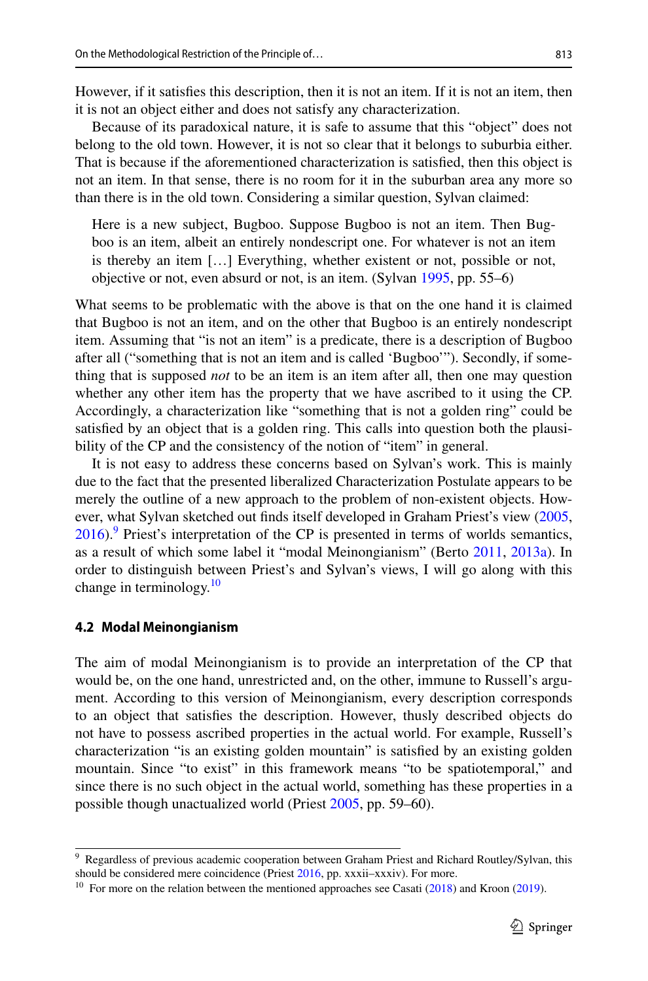However, if it satisfes this description, then it is not an item. If it is not an item, then it is not an object either and does not satisfy any characterization.

Because of its paradoxical nature, it is safe to assume that this "object" does not belong to the old town. However, it is not so clear that it belongs to suburbia either. That is because if the aforementioned characterization is satisfed, then this object is not an item. In that sense, there is no room for it in the suburban area any more so than there is in the old town. Considering a similar question, Sylvan claimed:

Here is a new subject, Bugboo. Suppose Bugboo is not an item. Then Bugboo is an item, albeit an entirely nondescript one. For whatever is not an item is thereby an item […] Everything, whether existent or not, possible or not, objective or not, even absurd or not, is an item. (Sylvan [1995](#page-17-22), pp. 55–6)

What seems to be problematic with the above is that on the one hand it is claimed that Bugboo is not an item, and on the other that Bugboo is an entirely nondescript item. Assuming that "is not an item" is a predicate, there is a description of Bugboo after all ("something that is not an item and is called 'Bugboo'"). Secondly, if something that is supposed *not* to be an item is an item after all, then one may question whether any other item has the property that we have ascribed to it using the CP. Accordingly, a characterization like "something that is not a golden ring" could be satisfed by an object that is a golden ring. This calls into question both the plausibility of the CP and the consistency of the notion of "item" in general.

It is not easy to address these concerns based on Sylvan's work. This is mainly due to the fact that the presented liberalized Characterization Postulate appears to be merely the outline of a new approach to the problem of non-existent objects. However, what Sylvan sketched out fnds itself developed in Graham Priest's view ([2005,](#page-17-2)  $2016$ .<sup>[9](#page-6-0)</sup> Priest's interpretation of the CP is presented in terms of worlds semantics, as a result of which some label it "modal Meinongianism" (Berto [2011](#page-16-14), [2013a](#page-16-12)). In order to distinguish between Priest's and Sylvan's views, I will go along with this change in terminology.<sup>[10](#page-6-1)</sup>

#### **4.2 Modal Meinongianism**

The aim of modal Meinongianism is to provide an interpretation of the CP that would be, on the one hand, unrestricted and, on the other, immune to Russell's argument. According to this version of Meinongianism, every description corresponds to an object that satisfes the description. However, thusly described objects do not have to possess ascribed properties in the actual world. For example, Russell's characterization "is an existing golden mountain" is satisfed by an existing golden mountain. Since "to exist" in this framework means "to be spatiotemporal," and since there is no such object in the actual world, something has these properties in a possible though unactualized world (Priest [2005,](#page-17-2) pp. 59–60).

<span id="page-6-0"></span><sup>&</sup>lt;sup>9</sup> Regardless of previous academic cooperation between Graham Priest and Richard Routley/Sylvan, this should be considered mere coincidence (Priest [2016,](#page-17-23) pp. xxxii–xxxiv). For more.

<span id="page-6-1"></span><sup>&</sup>lt;sup>10</sup> For more on the relation between the mentioned approaches see Casati  $(2018)$  $(2018)$  and Kroon  $(2019)$  $(2019)$ .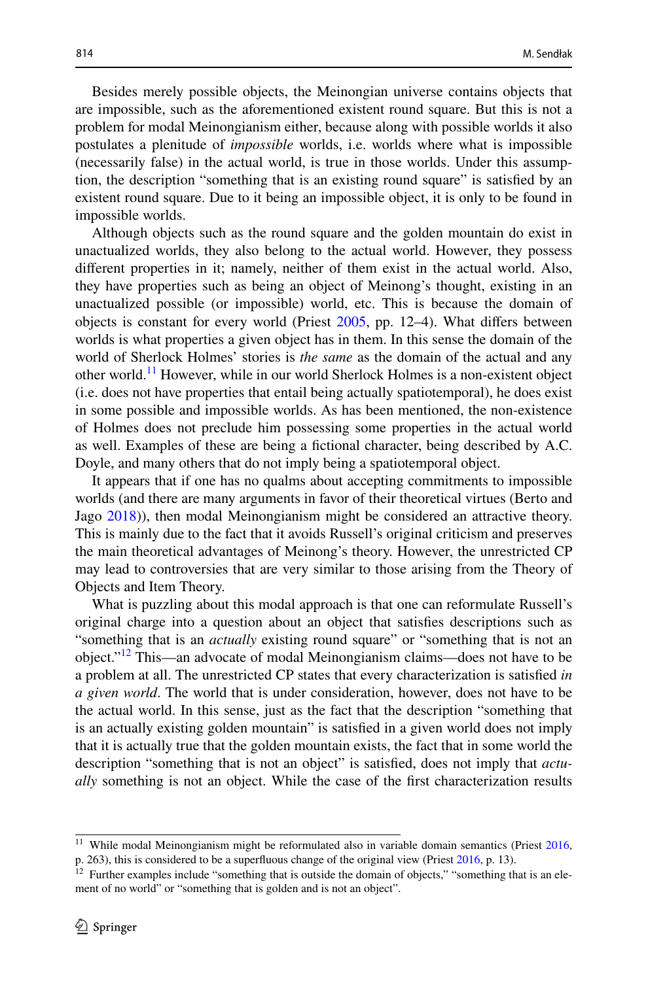Besides merely possible objects, the Meinongian universe contains objects that are impossible, such as the aforementioned existent round square. But this is not a problem for modal Meinongianism either, because along with possible worlds it also postulates a plenitude of *impossible* worlds, i.e. worlds where what is impossible (necessarily false) in the actual world, is true in those worlds. Under this assumption, the description "something that is an existing round square" is satisfed by an existent round square. Due to it being an impossible object, it is only to be found in impossible worlds.

Although objects such as the round square and the golden mountain do exist in unactualized worlds, they also belong to the actual world. However, they possess diferent properties in it; namely, neither of them exist in the actual world. Also, they have properties such as being an object of Meinong's thought, existing in an unactualized possible (or impossible) world, etc. This is because the domain of objects is constant for every world (Priest [2005](#page-17-2), pp. 12–4). What difers between worlds is what properties a given object has in them. In this sense the domain of the world of Sherlock Holmes' stories is *the same* as the domain of the actual and any other world.<sup>[11](#page-7-0)</sup> However, while in our world Sherlock Holmes is a non-existent object (i.e. does not have properties that entail being actually spatiotemporal), he does exist in some possible and impossible worlds. As has been mentioned, the non-existence of Holmes does not preclude him possessing some properties in the actual world as well. Examples of these are being a fctional character, being described by A.C. Doyle, and many others that do not imply being a spatiotemporal object.

It appears that if one has no qualms about accepting commitments to impossible worlds (and there are many arguments in favor of their theoretical virtues (Berto and Jago [2018\)](#page-16-16)), then modal Meinongianism might be considered an attractive theory. This is mainly due to the fact that it avoids Russell's original criticism and preserves the main theoretical advantages of Meinong's theory. However, the unrestricted CP may lead to controversies that are very similar to those arising from the Theory of Objects and Item Theory.

What is puzzling about this modal approach is that one can reformulate Russell's original charge into a question about an object that satisfes descriptions such as "something that is an *actually* existing round square" or "something that is not an object.["12](#page-7-1) This—an advocate of modal Meinongianism claims—does not have to be a problem at all. The unrestricted CP states that every characterization is satisfed *in a given world*. The world that is under consideration, however, does not have to be the actual world. In this sense, just as the fact that the description "something that is an actually existing golden mountain" is satisfed in a given world does not imply that it is actually true that the golden mountain exists, the fact that in some world the description "something that is not an object" is satisfed, does not imply that *actually* something is not an object. While the case of the frst characterization results

<span id="page-7-0"></span> $11$  While modal Meinongianism might be reformulated also in variable domain semantics (Priest  $2016$ , p. 263), this is considered to be a superfuous change of the original view (Priest [2016,](#page-17-23) p. 13).

<span id="page-7-1"></span> $12$  Further examples include "something that is outside the domain of objects," "something that is an element of no world" or "something that is golden and is not an object".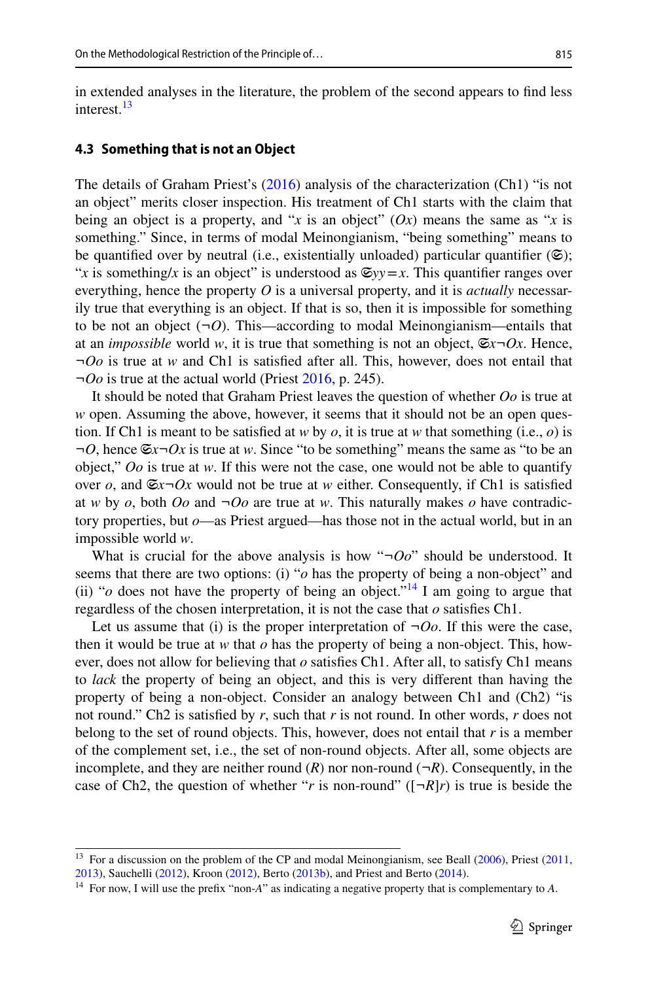in extended analyses in the literature, the problem of the second appears to fnd less interest.<sup>[13](#page-8-0)</sup>

#### **4.3 Something that is not an Object**

The details of Graham Priest's ([2016\)](#page-17-23) analysis of the characterization (Ch1) "is not an object" merits closer inspection. His treatment of Ch1 starts with the claim that being an object is a property, and "*x* is an object"  $(Ox)$  means the same as "*x* is something." Since, in terms of modal Meinongianism, "being something" means to be quantified over by neutral (i.e., existentially unloaded) particular quantifier ( $\mathfrak{S}$ ); "*x* is something/*x* is an object" is understood as  $\mathfrak{S}_{yy} = x$ . This quantifier ranges over everything, hence the property *O* is a universal property, and it is *actually* necessarily true that everything is an object. If that is so, then it is impossible for something to be not an object  $(\neg O)$ . This—according to modal Meinongianism—entails that at an *impossible* world *w*, it is true that something is not an object,  $\mathfrak{S}_x \neg \mathfrak{O}_x$ . Hence, *¬Oo* is true at *w* and Ch1 is satisfed after all. This, however, does not entail that *¬Oo* is true at the actual world (Priest [2016](#page-17-23), p. 245).

It should be noted that Graham Priest leaves the question of whether *Oo* is true at *w* open. Assuming the above, however, it seems that it should not be an open question. If Ch1 is meant to be satisfied at *w* by *o*, it is true at *w* that something (i.e., *o*) is  $\neg O$ , hence  $\mathfrak{S}x \neg Ox$  is true at *w*. Since "to be something" means the same as "to be an object," *Oo* is true at *w*. If this were not the case, one would not be able to quantify over *o*, and  $\mathfrak{S}_x \neg \mathfrak{O}_x$  would not be true at *w* either. Consequently, if Ch1 is satisfied at *w* by *o*, both *Oo* and  $\neg$ *Oo* are true at *w*. This naturally makes *o* have contradictory properties, but *o*—as Priest argued—has those not in the actual world, but in an impossible world *w*.

What is crucial for the above analysis is how "*¬Oo*" should be understood. It seems that there are two options: (i) "*o* has the property of being a non-object" and (ii) " $o$  does not have the property of being an object."<sup>[14](#page-8-1)</sup> I am going to argue that regardless of the chosen interpretation, it is not the case that *o* satisfes Ch1.

Let us assume that (i) is the proper interpretation of  $\neg$ *Oo*. If this were the case, then it would be true at *w* that *o* has the property of being a non-object. This, however, does not allow for believing that *o* satisfes Ch1. After all, to satisfy Ch1 means to *lack* the property of being an object, and this is very diferent than having the property of being a non-object. Consider an analogy between Ch1 and (Ch2) "is not round." Ch2 is satisfed by *r*, such that *r* is not round. In other words, *r* does not belong to the set of round objects. This, however, does not entail that *r* is a member of the complement set, i.e., the set of non-round objects. After all, some objects are incomplete, and they are neither round  $(R)$  nor non-round  $(\neg R)$ . Consequently, in the case of Ch2, the question of whether "*r* is non-round" ( $\lceil \neg R \rceil r$ ) is true is beside the

<span id="page-8-0"></span><sup>&</sup>lt;sup>13</sup> For a discussion on the problem of the CP and modal Meinongianism, see Beall  $(2006)$  $(2006)$ , Priest  $(2011)$  $(2011)$ , [2013](#page-17-26)), Sauchelli ([2012\)](#page-17-27), Kroon ([2012\)](#page-17-28), Berto ([2013b\)](#page-16-18), and Priest and Berto ([2014\)](#page-17-29).

<span id="page-8-1"></span><sup>14</sup> For now, I will use the prefx "non-*A*" as indicating a negative property that is complementary to *A*.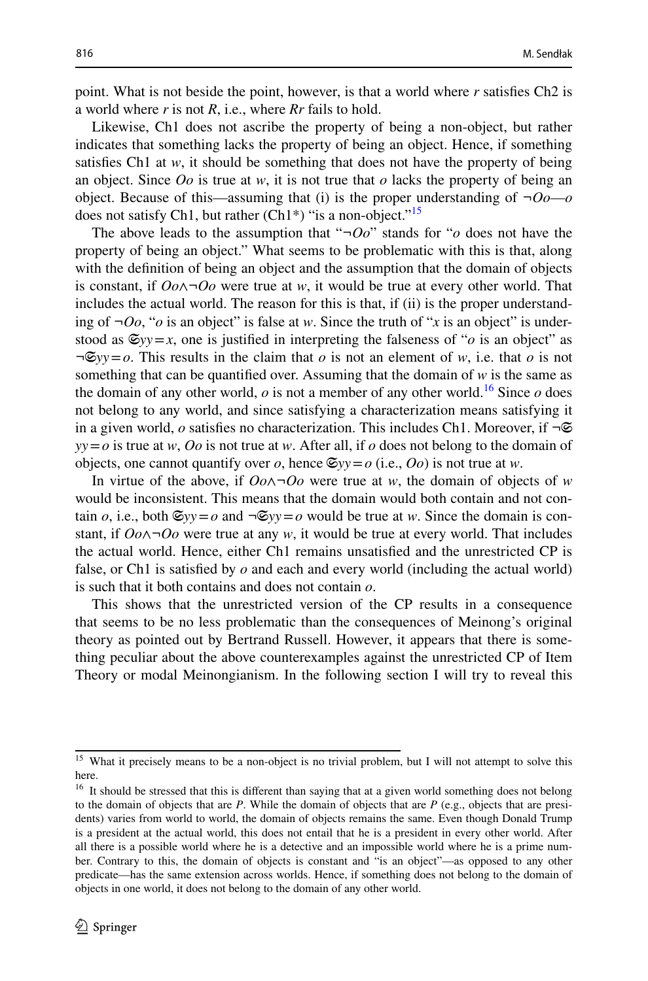point. What is not beside the point, however, is that a world where *r* satisfes Ch2 is a world where *r* is not *R*, i.e., where *Rr* fails to hold.

Likewise, Ch1 does not ascribe the property of being a non-object, but rather indicates that something lacks the property of being an object. Hence, if something satisfes Ch1 at *w*, it should be something that does not have the property of being an object. Since *Oo* is true at *w*, it is not true that *o* lacks the property of being an object. Because of this—assuming that (i) is the proper understanding of  $\neg$ *Oo*—*o* does not satisfy Ch1, but rather  $(Ch1*)$  "is a non-object."<sup>15</sup>

The above leads to the assumption that "*¬Oo*" stands for "*o* does not have the property of being an object." What seems to be problematic with this is that, along with the defnition of being an object and the assumption that the domain of objects is constant, if *Oo*∧*¬Oo* were true at *w*, it would be true at every other world. That includes the actual world. The reason for this is that, if (ii) is the proper understanding of  $\neg O_0$ , "*o* is an object" is false at *w*. Since the truth of "*x* is an object" is understood as  $\mathfrak{S}_{yy} = x$ , one is justified in interpreting the falseness of "*o* is an object" as  $\neg \mathfrak{S}_{yy} = o$ . This results in the claim that *o* is not an element of *w*, i.e. that *o* is not something that can be quantified over. Assuming that the domain of  $w$  is the same as the domain of any other world,  $o$  is not a member of any other world.<sup>[16](#page-9-1)</sup> Since  $o$  does not belong to any world, and since satisfying a characterization means satisfying it in a given world, *o* satisfies no characterization. This includes Ch1. Moreover, if ¬**☉** *yy*=*o* is true at *w*, *Oo* is not true at *w*. After all, if *o* does not belong to the domain of objects, one cannot quantify over *o*, hence  $\mathfrak{S}_{\mathcal{V}}\mathfrak{y}=\mathfrak{o}$  (i.e., *Oo*) is not true at *w*.

In virtue of the above, if *Oo*∧*¬Oo* were true at *w*, the domain of objects of *w* would be inconsistent. This means that the domain would both contain and not contain *o*, i.e., both  $\mathfrak{S}_{yy} = o$  and  $\neg \mathfrak{S}_{yy} = o$  would be true at *w*. Since the domain is constant, if *Oo*∧*¬Oo* were true at any *w*, it would be true at every world. That includes the actual world. Hence, either Ch1 remains unsatisfed and the unrestricted CP is false, or Ch1 is satisfed by *o* and each and every world (including the actual world) is such that it both contains and does not contain *o*.

This shows that the unrestricted version of the CP results in a consequence that seems to be no less problematic than the consequences of Meinong's original theory as pointed out by Bertrand Russell. However, it appears that there is something peculiar about the above counterexamples against the unrestricted CP of Item Theory or modal Meinongianism. In the following section I will try to reveal this

<span id="page-9-0"></span><sup>&</sup>lt;sup>15</sup> What it precisely means to be a non-object is no trivial problem, but I will not attempt to solve this here.

<span id="page-9-1"></span><sup>&</sup>lt;sup>16</sup> It should be stressed that this is different than saying that at a given world something does not belong to the domain of objects that are *P*. While the domain of objects that are *P* (e.g., objects that are presidents) varies from world to world, the domain of objects remains the same. Even though Donald Trump is a president at the actual world, this does not entail that he is a president in every other world. After all there is a possible world where he is a detective and an impossible world where he is a prime number. Contrary to this, the domain of objects is constant and "is an object"—as opposed to any other predicate—has the same extension across worlds. Hence, if something does not belong to the domain of objects in one world, it does not belong to the domain of any other world.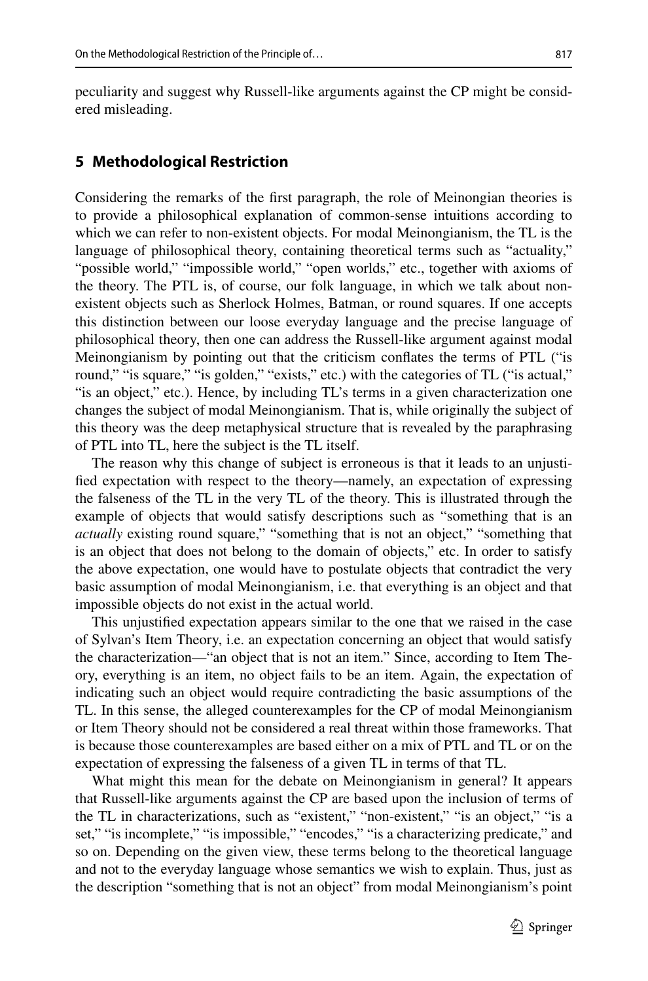peculiarity and suggest why Russell-like arguments against the CP might be considered misleading.

# <span id="page-10-0"></span>**5 Methodological Restriction**

Considering the remarks of the frst paragraph, the role of Meinongian theories is to provide a philosophical explanation of common-sense intuitions according to which we can refer to non-existent objects. For modal Meinongianism, the TL is the language of philosophical theory, containing theoretical terms such as "actuality," "possible world," "impossible world," "open worlds," etc., together with axioms of the theory. The PTL is, of course, our folk language, in which we talk about nonexistent objects such as Sherlock Holmes, Batman, or round squares. If one accepts this distinction between our loose everyday language and the precise language of philosophical theory, then one can address the Russell-like argument against modal Meinongianism by pointing out that the criticism confates the terms of PTL ("is round," "is square," "is golden," "exists," etc.) with the categories of TL ("is actual," "is an object," etc.). Hence, by including TL's terms in a given characterization one changes the subject of modal Meinongianism. That is, while originally the subject of this theory was the deep metaphysical structure that is revealed by the paraphrasing of PTL into TL, here the subject is the TL itself.

The reason why this change of subject is erroneous is that it leads to an unjustifed expectation with respect to the theory—namely, an expectation of expressing the falseness of the TL in the very TL of the theory. This is illustrated through the example of objects that would satisfy descriptions such as "something that is an *actually* existing round square," "something that is not an object," "something that is an object that does not belong to the domain of objects," etc. In order to satisfy the above expectation, one would have to postulate objects that contradict the very basic assumption of modal Meinongianism, i.e. that everything is an object and that impossible objects do not exist in the actual world.

This unjustifed expectation appears similar to the one that we raised in the case of Sylvan's Item Theory, i.e. an expectation concerning an object that would satisfy the characterization—"an object that is not an item." Since, according to Item Theory, everything is an item, no object fails to be an item. Again, the expectation of indicating such an object would require contradicting the basic assumptions of the TL. In this sense, the alleged counterexamples for the CP of modal Meinongianism or Item Theory should not be considered a real threat within those frameworks. That is because those counterexamples are based either on a mix of PTL and TL or on the expectation of expressing the falseness of a given TL in terms of that TL.

What might this mean for the debate on Meinongianism in general? It appears that Russell-like arguments against the CP are based upon the inclusion of terms of the TL in characterizations, such as "existent," "non-existent," "is an object," "is a set," "is incomplete," "is impossible," "encodes," "is a characterizing predicate," and so on. Depending on the given view, these terms belong to the theoretical language and not to the everyday language whose semantics we wish to explain. Thus, just as the description "something that is not an object" from modal Meinongianism's point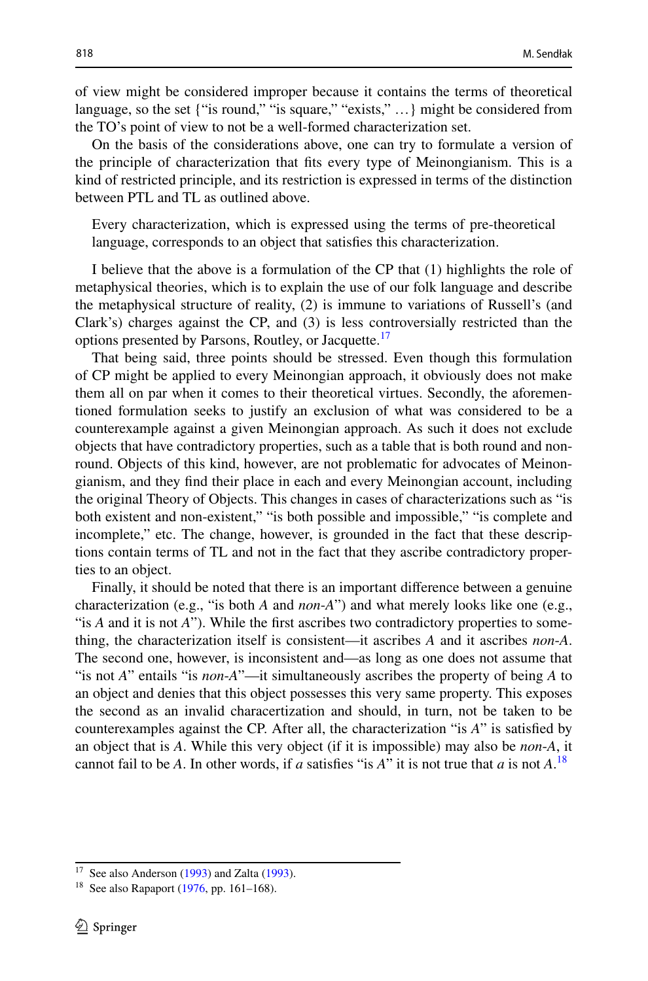of view might be considered improper because it contains the terms of theoretical language, so the set {"is round," "is square," "exists," …} might be considered from the TO's point of view to not be a well-formed characterization set.

On the basis of the considerations above, one can try to formulate a version of the principle of characterization that fts every type of Meinongianism. This is a kind of restricted principle, and its restriction is expressed in terms of the distinction between PTL and TL as outlined above.

Every characterization, which is expressed using the terms of pre-theoretical language, corresponds to an object that satisfes this characterization.

I believe that the above is a formulation of the CP that (1) highlights the role of metaphysical theories, which is to explain the use of our folk language and describe the metaphysical structure of reality, (2) is immune to variations of Russell's (and Clark's) charges against the CP, and (3) is less controversially restricted than the options presented by Parsons, Routley, or Jacquette.<sup>[17](#page-11-0)</sup>

That being said, three points should be stressed. Even though this formulation of CP might be applied to every Meinongian approach, it obviously does not make them all on par when it comes to their theoretical virtues. Secondly, the aforementioned formulation seeks to justify an exclusion of what was considered to be a counterexample against a given Meinongian approach. As such it does not exclude objects that have contradictory properties, such as a table that is both round and nonround. Objects of this kind, however, are not problematic for advocates of Meinongianism, and they fnd their place in each and every Meinongian account, including the original Theory of Objects. This changes in cases of characterizations such as "is both existent and non-existent," "is both possible and impossible," "is complete and incomplete," etc. The change, however, is grounded in the fact that these descriptions contain terms of TL and not in the fact that they ascribe contradictory properties to an object.

Finally, it should be noted that there is an important diference between a genuine characterization (e.g., "is both *A* and *non*-*A*") and what merely looks like one (e.g., "is *A* and it is not *A*"). While the frst ascribes two contradictory properties to something, the characterization itself is consistent—it ascribes *A* and it ascribes *non*-*A*. The second one, however, is inconsistent and—as long as one does not assume that "is not *A*" entails "is *non*-*A*"—it simultaneously ascribes the property of being *A* to an object and denies that this object possesses this very same property. This exposes the second as an invalid characertization and should, in turn, not be taken to be counterexamples against the CP. After all, the characterization "is *A*" is satisfed by an object that is *A*. While this very object (if it is impossible) may also be *non*-*A*, it cannot fail to be *A*. In other words, if *a* satisfes "is *A*" it is not true that *a* is not *A*. [18](#page-11-1)

<span id="page-11-0"></span><sup>&</sup>lt;sup>17</sup> See also Anderson ([1993\)](#page-16-19) and Zalta [\(1993](#page-17-30)).

<span id="page-11-1"></span><sup>&</sup>lt;sup>18</sup> See also Rapaport [\(1976](#page-17-31), pp. 161–168).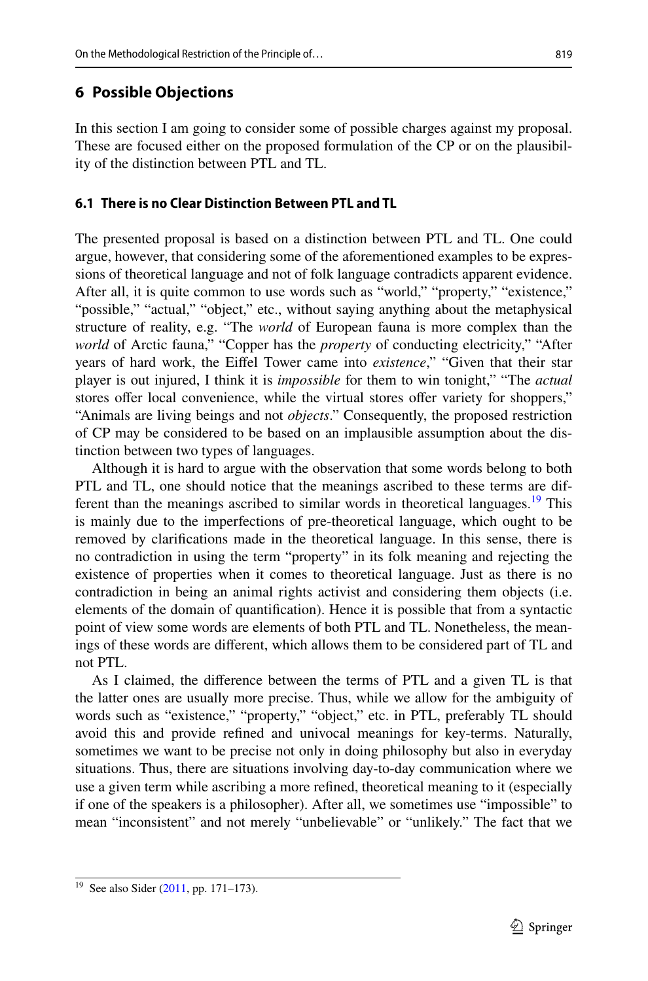# <span id="page-12-0"></span>**6 Possible Objections**

In this section I am going to consider some of possible charges against my proposal. These are focused either on the proposed formulation of the CP or on the plausibility of the distinction between PTL and TL.

# **6.1 There is no Clear Distinction Between PTL and TL**

The presented proposal is based on a distinction between PTL and TL. One could argue, however, that considering some of the aforementioned examples to be expressions of theoretical language and not of folk language contradicts apparent evidence. After all, it is quite common to use words such as "world," "property," "existence," "possible," "actual," "object," etc., without saying anything about the metaphysical structure of reality, e.g. "The *world* of European fauna is more complex than the *world* of Arctic fauna," "Copper has the *property* of conducting electricity," "After years of hard work, the Eifel Tower came into *existence*," "Given that their star player is out injured, I think it is *impossible* for them to win tonight," "The *actual* stores offer local convenience, while the virtual stores offer variety for shoppers," "Animals are living beings and not *objects*." Consequently, the proposed restriction of CP may be considered to be based on an implausible assumption about the distinction between two types of languages.

Although it is hard to argue with the observation that some words belong to both PTL and TL, one should notice that the meanings ascribed to these terms are different than the meanings ascribed to similar words in theoretical languages.<sup>19</sup> This is mainly due to the imperfections of pre-theoretical language, which ought to be removed by clarifcations made in the theoretical language. In this sense, there is no contradiction in using the term "property" in its folk meaning and rejecting the existence of properties when it comes to theoretical language. Just as there is no contradiction in being an animal rights activist and considering them objects (i.e. elements of the domain of quantifcation). Hence it is possible that from a syntactic point of view some words are elements of both PTL and TL. Nonetheless, the meanings of these words are diferent, which allows them to be considered part of TL and not PTL.

As I claimed, the diference between the terms of PTL and a given TL is that the latter ones are usually more precise. Thus, while we allow for the ambiguity of words such as "existence," "property," "object," etc. in PTL, preferably TL should avoid this and provide refned and univocal meanings for key-terms. Naturally, sometimes we want to be precise not only in doing philosophy but also in everyday situations. Thus, there are situations involving day-to-day communication where we use a given term while ascribing a more refned, theoretical meaning to it (especially if one of the speakers is a philosopher). After all, we sometimes use "impossible" to mean "inconsistent" and not merely "unbelievable" or "unlikely." The fact that we

<span id="page-12-1"></span><sup>&</sup>lt;sup>19</sup> See also Sider ([2011,](#page-17-32) pp. 171–173).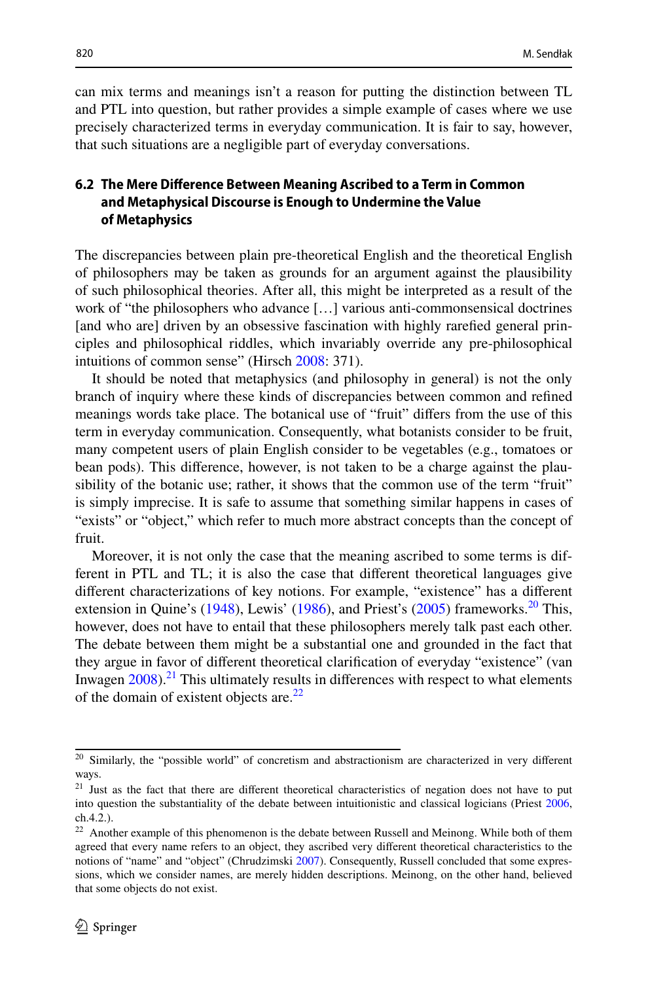can mix terms and meanings isn't a reason for putting the distinction between TL and PTL into question, but rather provides a simple example of cases where we use precisely characterized terms in everyday communication. It is fair to say, however, that such situations are a negligible part of everyday conversations.

# **6.2 The Mere Diference Between Meaning Ascribed to a Term in Common and Metaphysical Discourse is Enough to Undermine the Value of Metaphysics**

The discrepancies between plain pre-theoretical English and the theoretical English of philosophers may be taken as grounds for an argument against the plausibility of such philosophical theories. After all, this might be interpreted as a result of the work of "the philosophers who advance […] various anti-commonsensical doctrines [and who are] driven by an obsessive fascination with highly rarefed general principles and philosophical riddles, which invariably override any pre-philosophical intuitions of common sense" (Hirsch [2008:](#page-16-20) 371).

It should be noted that metaphysics (and philosophy in general) is not the only branch of inquiry where these kinds of discrepancies between common and refned meanings words take place. The botanical use of "fruit" difers from the use of this term in everyday communication. Consequently, what botanists consider to be fruit, many competent users of plain English consider to be vegetables (e.g., tomatoes or bean pods). This diference, however, is not taken to be a charge against the plausibility of the botanic use; rather, it shows that the common use of the term "fruit" is simply imprecise. It is safe to assume that something similar happens in cases of "exists" or "object," which refer to much more abstract concepts than the concept of fruit.

Moreover, it is not only the case that the meaning ascribed to some terms is different in PTL and TL; it is also the case that diferent theoretical languages give diferent characterizations of key notions. For example, "existence" has a diferent extension in Quine's  $(1948)$  $(1948)$ , Lewis'  $(1986)$  $(1986)$ , and Priest's  $(2005)$  $(2005)$  frameworks.<sup>[20](#page-13-0)</sup> This, however, does not have to entail that these philosophers merely talk past each other. The debate between them might be a substantial one and grounded in the fact that they argue in favor of diferent theoretical clarifcation of everyday "existence" (van Inwagen  $2008$ ).<sup>21</sup> This ultimately results in differences with respect to what elements of the domain of existent objects are. $^{22}$  $^{22}$  $^{22}$ 

<span id="page-13-0"></span><sup>&</sup>lt;sup>20</sup> Similarly, the "possible world" of concretism and abstractionism are characterized in very different ways.

<span id="page-13-1"></span><sup>&</sup>lt;sup>21</sup> Just as the fact that there are different theoretical characteristics of negation does not have to put into question the substantiality of the debate between intuitionistic and classical logicians (Priest [2006](#page-17-35), ch.4.2.).

<span id="page-13-2"></span><sup>&</sup>lt;sup>22</sup> Another example of this phenomenon is the debate between Russell and Meinong. While both of them agreed that every name refers to an object, they ascribed very diferent theoretical characteristics to the notions of "name" and "object" (Chrudzimski [2007\)](#page-16-21). Consequently, Russell concluded that some expressions, which we consider names, are merely hidden descriptions. Meinong, on the other hand, believed that some objects do not exist.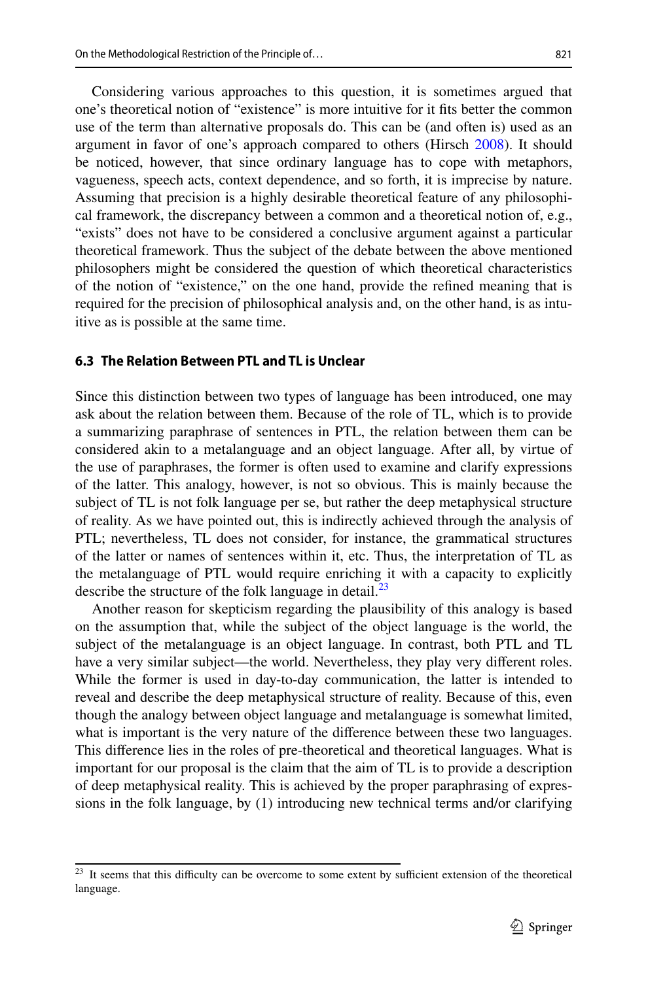Considering various approaches to this question, it is sometimes argued that one's theoretical notion of "existence" is more intuitive for it fts better the common use of the term than alternative proposals do. This can be (and often is) used as an argument in favor of one's approach compared to others (Hirsch [2008](#page-16-20)). It should be noticed, however, that since ordinary language has to cope with metaphors, vagueness, speech acts, context dependence, and so forth, it is imprecise by nature. Assuming that precision is a highly desirable theoretical feature of any philosophi-

cal framework, the discrepancy between a common and a theoretical notion of, e.g., "exists" does not have to be considered a conclusive argument against a particular theoretical framework. Thus the subject of the debate between the above mentioned philosophers might be considered the question of which theoretical characteristics of the notion of "existence," on the one hand, provide the refned meaning that is required for the precision of philosophical analysis and, on the other hand, is as intuitive as is possible at the same time.

### **6.3 The Relation Between PTL and TL is Unclear**

Since this distinction between two types of language has been introduced, one may ask about the relation between them. Because of the role of TL, which is to provide a summarizing paraphrase of sentences in PTL, the relation between them can be considered akin to a metalanguage and an object language. After all, by virtue of the use of paraphrases, the former is often used to examine and clarify expressions of the latter. This analogy, however, is not so obvious. This is mainly because the subject of TL is not folk language per se, but rather the deep metaphysical structure of reality. As we have pointed out, this is indirectly achieved through the analysis of PTL; nevertheless, TL does not consider, for instance, the grammatical structures of the latter or names of sentences within it, etc. Thus, the interpretation of TL as the metalanguage of PTL would require enriching it with a capacity to explicitly describe the structure of the folk language in detail.<sup>[23](#page-14-0)</sup>

Another reason for skepticism regarding the plausibility of this analogy is based on the assumption that, while the subject of the object language is the world, the subject of the metalanguage is an object language. In contrast, both PTL and TL have a very similar subject—the world. Nevertheless, they play very diferent roles. While the former is used in day-to-day communication, the latter is intended to reveal and describe the deep metaphysical structure of reality. Because of this, even though the analogy between object language and metalanguage is somewhat limited, what is important is the very nature of the difference between these two languages. This diference lies in the roles of pre-theoretical and theoretical languages. What is important for our proposal is the claim that the aim of TL is to provide a description of deep metaphysical reality. This is achieved by the proper paraphrasing of expressions in the folk language, by (1) introducing new technical terms and/or clarifying

<span id="page-14-0"></span><sup>&</sup>lt;sup>23</sup> It seems that this difficulty can be overcome to some extent by sufficient extension of the theoretical language.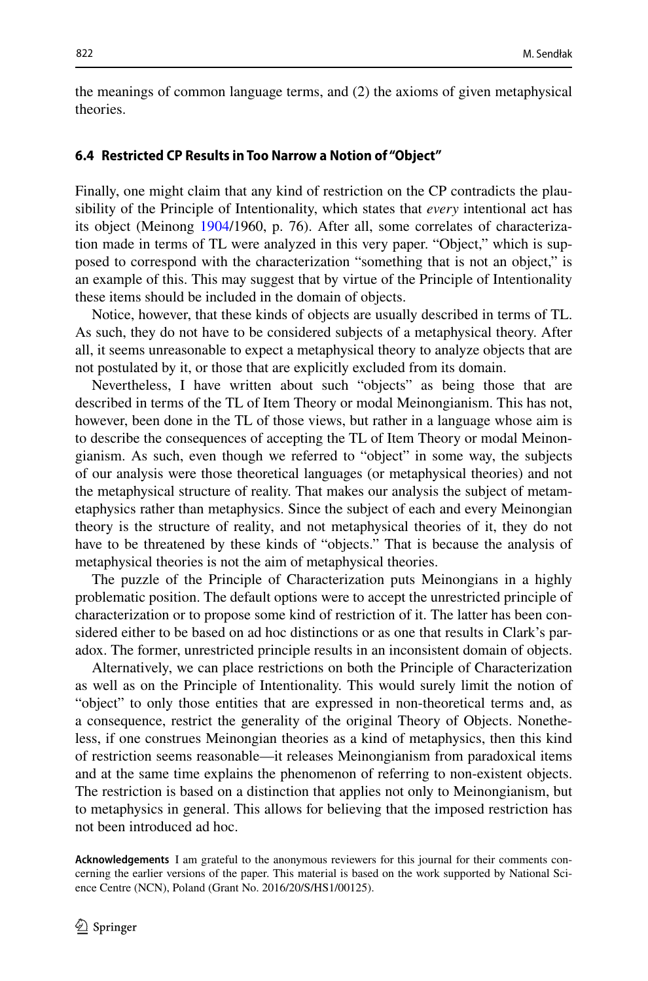the meanings of common language terms, and (2) the axioms of given metaphysical theories.

#### **6.4 Restricted CP Results in Too Narrow a Notion of "Object"**

Finally, one might claim that any kind of restriction on the CP contradicts the plausibility of the Principle of Intentionality, which states that *every* intentional act has its object (Meinong [1904/](#page-17-0)1960, p. 76). After all, some correlates of characterization made in terms of TL were analyzed in this very paper. "Object," which is supposed to correspond with the characterization "something that is not an object," is an example of this. This may suggest that by virtue of the Principle of Intentionality these items should be included in the domain of objects.

Notice, however, that these kinds of objects are usually described in terms of TL. As such, they do not have to be considered subjects of a metaphysical theory. After all, it seems unreasonable to expect a metaphysical theory to analyze objects that are not postulated by it, or those that are explicitly excluded from its domain.

Nevertheless, I have written about such "objects" as being those that are described in terms of the TL of Item Theory or modal Meinongianism. This has not, however, been done in the TL of those views, but rather in a language whose aim is to describe the consequences of accepting the TL of Item Theory or modal Meinongianism. As such, even though we referred to "object" in some way, the subjects of our analysis were those theoretical languages (or metaphysical theories) and not the metaphysical structure of reality. That makes our analysis the subject of metametaphysics rather than metaphysics. Since the subject of each and every Meinongian theory is the structure of reality, and not metaphysical theories of it, they do not have to be threatened by these kinds of "objects." That is because the analysis of metaphysical theories is not the aim of metaphysical theories.

The puzzle of the Principle of Characterization puts Meinongians in a highly problematic position. The default options were to accept the unrestricted principle of characterization or to propose some kind of restriction of it. The latter has been considered either to be based on ad hoc distinctions or as one that results in Clark's paradox. The former, unrestricted principle results in an inconsistent domain of objects.

Alternatively, we can place restrictions on both the Principle of Characterization as well as on the Principle of Intentionality. This would surely limit the notion of "object" to only those entities that are expressed in non-theoretical terms and, as a consequence, restrict the generality of the original Theory of Objects. Nonetheless, if one construes Meinongian theories as a kind of metaphysics, then this kind of restriction seems reasonable—it releases Meinongianism from paradoxical items and at the same time explains the phenomenon of referring to non-existent objects. The restriction is based on a distinction that applies not only to Meinongianism, but to metaphysics in general. This allows for believing that the imposed restriction has not been introduced ad hoc.

**Acknowledgements** I am grateful to the anonymous reviewers for this journal for their comments concerning the earlier versions of the paper. This material is based on the work supported by National Science Centre (NCN), Poland (Grant No. 2016/20/S/HS1/00125).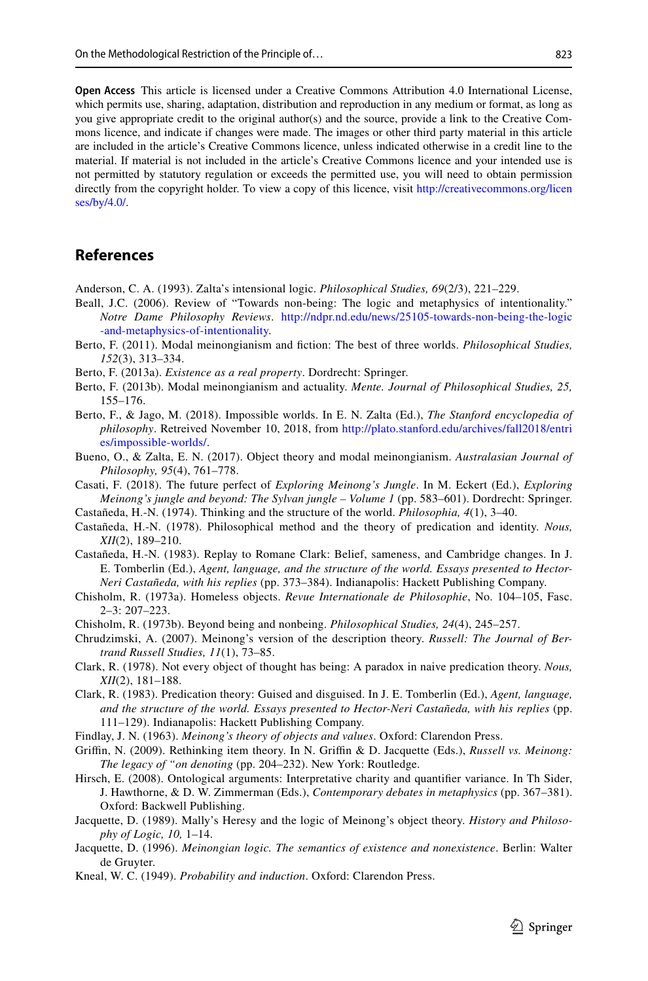**Open Access** This article is licensed under a Creative Commons Attribution 4.0 International License, which permits use, sharing, adaptation, distribution and reproduction in any medium or format, as long as you give appropriate credit to the original author(s) and the source, provide a link to the Creative Commons licence, and indicate if changes were made. The images or other third party material in this article are included in the article's Creative Commons licence, unless indicated otherwise in a credit line to the material. If material is not included in the article's Creative Commons licence and your intended use is not permitted by statutory regulation or exceeds the permitted use, you will need to obtain permission directly from the copyright holder. To view a copy of this licence, visit [http://creativecommons.org/licen](http://creativecommons.org/licenses/by/4.0/) [ses/by/4.0/](http://creativecommons.org/licenses/by/4.0/).

# **References**

<span id="page-16-19"></span>Anderson, C. A. (1993). Zalta's intensional logic. *Philosophical Studies, 69*(2/3), 221–229.

- <span id="page-16-17"></span>Beall, J.C. (2006). Review of "Towards non-being: The logic and metaphysics of intentionality." *Notre Dame Philosophy Reviews*. [http://ndpr.nd.edu/news/25105-towards-non-being-the-logic](http://ndpr.nd.edu/news/25105-towards-non-being-the-logic-and-metaphysics-of-intentionality) [-and-metaphysics-of-intentionality](http://ndpr.nd.edu/news/25105-towards-non-being-the-logic-and-metaphysics-of-intentionality).
- <span id="page-16-14"></span>Berto, F. (2011). Modal meinongianism and fction: The best of three worlds. *Philosophical Studies, 152*(3), 313–334.
- <span id="page-16-12"></span>Berto, F. (2013a). *Existence as a real property*. Dordrecht: Springer.
- <span id="page-16-18"></span>Berto, F. (2013b). Modal meinongianism and actuality. *Mente. Journal of Philosophical Studies, 25,* 155–176.
- <span id="page-16-16"></span>Berto, F., & Jago, M. (2018). Impossible worlds. In E. N. Zalta (Ed.), *The Stanford encyclopedia of philosophy*. Retreived November 10, 2018, from [http://plato.stanford.edu/archives/fall2018/entri](http://plato.stanford.edu/archives/fall2018/entries/impossible-worlds/) [es/impossible-worlds/](http://plato.stanford.edu/archives/fall2018/entries/impossible-worlds/).
- <span id="page-16-13"></span>Bueno, O., & Zalta, E. N. (2017). Object theory and modal meinongianism. *Australasian Journal of Philosophy, 95*(4), 761–778.
- <span id="page-16-15"></span>Casati, F. (2018). The future perfect of *Exploring Meinong's Jungle*. In M. Eckert (Ed.), *Exploring Meinong's jungle and beyond: The Sylvan jungle – Volume 1* (pp. 583–601). Dordrecht: Springer.
- <span id="page-16-5"></span>Castañeda, H.-N. (1974). Thinking and the structure of the world. *Philosophia, 4*(1), 3–40.
- <span id="page-16-8"></span>Castañeda, H.-N. (1978). Philosophical method and the theory of predication and identity. *Nous, XII*(2), 189–210.
- <span id="page-16-9"></span>Castañeda, H.-N. (1983). Replay to Romane Clark: Belief, sameness, and Cambridge changes. In J. E. Tomberlin (Ed.), *Agent, language, and the structure of the world. Essays presented to Hector-Neri Castañeda, with his replies* (pp. 373–384). Indianapolis: Hackett Publishing Company.
- <span id="page-16-2"></span>Chisholm, R. (1973a). Homeless objects. *Revue Internationale de Philosophie*, No. 104–105, Fasc. 2–3: 207–223.
- <span id="page-16-3"></span>Chisholm, R. (1973b). Beyond being and nonbeing. *Philosophical Studies, 24*(4), 245–257.
- <span id="page-16-21"></span>Chrudzimski, A. (2007). Meinong's version of the description theory. *Russell: The Journal of Bertrand Russell Studies, 11*(1), 73–85.
- <span id="page-16-7"></span>Clark, R. (1978). Not every object of thought has being: A paradox in naive predication theory. *Nous, XII*(2), 181–188.
- <span id="page-16-10"></span>Clark, R. (1983). Predication theory: Guised and disguised. In J. E. Tomberlin (Ed.), *Agent, language, and the structure of the world. Essays presented to Hector-Neri Castañeda, with his replies* (pp. 111–129). Indianapolis: Hackett Publishing Company.
- <span id="page-16-1"></span>Findlay, J. N. (1963). *Meinong's theory of objects and values*. Oxford: Clarendon Press.
- <span id="page-16-6"></span>Grifn, N. (2009). Rethinking item theory. In N. Grifn & D. Jacquette (Eds.), *Russell vs. Meinong: The legacy of "on denoting* (pp. 204–232). New York: Routledge.
- <span id="page-16-20"></span>Hirsch, E. (2008). Ontological arguments: Interpretative charity and quantifer variance. In Th Sider, J. Hawthorne, & D. W. Zimmerman (Eds.), *Contemporary debates in metaphysics* (pp. 367–381). Oxford: Backwell Publishing.
- <span id="page-16-11"></span>Jacquette, D. (1989). Mally's Heresy and the logic of Meinong's object theory. *History and Philosophy of Logic, 10,* 1–14.
- <span id="page-16-4"></span>Jacquette, D. (1996). *Meinongian logic. The semantics of existence and nonexistence*. Berlin: Walter de Gruyter.
- <span id="page-16-0"></span>Kneal, W. C. (1949). *Probability and induction*. Oxford: Clarendon Press.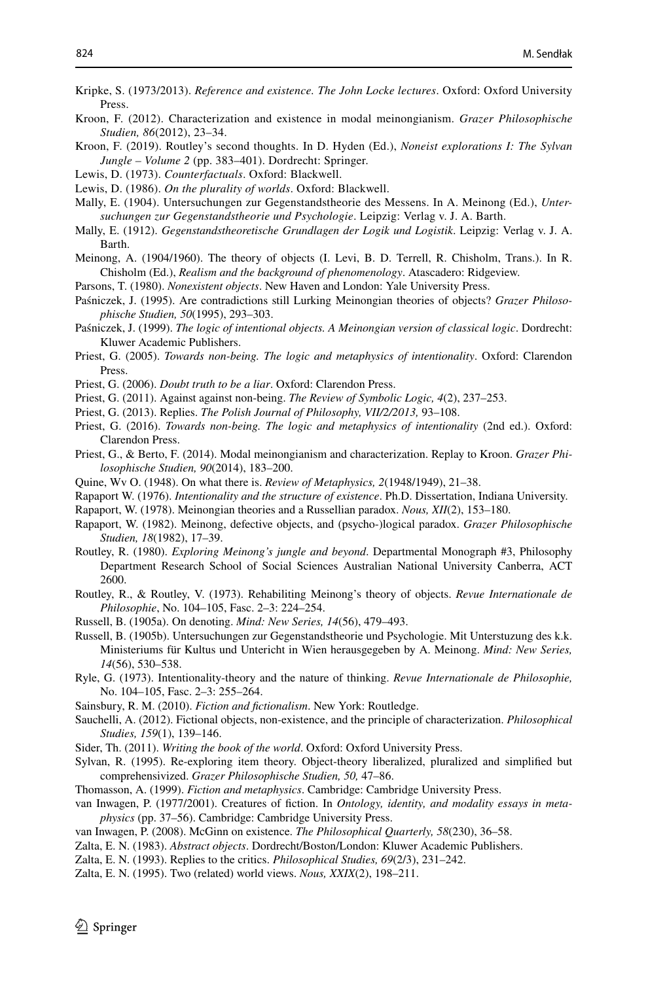- <span id="page-17-7"></span>Kripke, S. (1973/2013). *Reference and existence. The John Locke lectures*. Oxford: Oxford University Press.
- <span id="page-17-28"></span>Kroon, F. (2012). Characterization and existence in modal meinongianism. *Grazer Philosophische Studien, 86*(2012), 23–34.
- <span id="page-17-24"></span>Kroon, F. (2019). Routley's second thoughts. In D. Hyden (Ed.), *Noneist explorations I: The Sylvan Jungle – Volume 2* (pp. 383–401). Dordrecht: Springer.
- <span id="page-17-6"></span>Lewis, D. (1973). *Counterfactuals*. Oxford: Blackwell.
- <span id="page-17-33"></span>Lewis, D. (1986). *On the plurality of worlds*. Oxford: Blackwell.
- <span id="page-17-17"></span>Mally, E. (1904). Untersuchungen zur Gegenstandstheorie des Messens. In A. Meinong (Ed.), *Untersuchungen zur Gegenstandstheorie und Psychologie*. Leipzig: Verlag v. J. A. Barth.
- <span id="page-17-18"></span>Mally, E. (1912). *Gegenstandstheoretische Grundlagen der Logik und Logistik*. Leipzig: Verlag v. J. A. Barth.
- <span id="page-17-0"></span>Meinong, A. (1904/1960). The theory of objects (I. Levi, B. D. Terrell, R. Chisholm, Trans.). In R. Chisholm (Ed.), *Realism and the background of phenomenology*. Atascadero: Ridgeview.
- <span id="page-17-1"></span>Parsons, T. (1980). *Nonexistent objects*. New Haven and London: Yale University Press.
- <span id="page-17-20"></span>Paśniczek, J. (1995). Are contradictions still Lurking Meinongian theories of objects? *Grazer Philosophische Studien, 50*(1995), 293–303.
- <span id="page-17-16"></span>Paśniczek, J. (1999). *The logic of intentional objects. A Meinongian version of classical logic*. Dordrecht: Kluwer Academic Publishers.
- <span id="page-17-2"></span>Priest, G. (2005). *Towards non-being. The logic and metaphysics of intentionality*. Oxford: Clarendon Press.
- <span id="page-17-35"></span>Priest, G. (2006). *Doubt truth to be a liar*. Oxford: Clarendon Press.
- <span id="page-17-25"></span>Priest, G. (2011). Against against non-being. *The Review of Symbolic Logic, 4*(2), 237–253.
- <span id="page-17-26"></span>Priest, G. (2013). Replies. *The Polish Journal of Philosophy, VII/2/2013,* 93–108.
- <span id="page-17-23"></span>Priest, G. (2016). *Towards non-being. The logic and metaphysics of intentionality* (2nd ed.). Oxford: Clarendon Press.
- <span id="page-17-29"></span>Priest, G., & Berto, F. (2014). Modal meinongianism and characterization. Replay to Kroon. *Grazer Philosophische Studien, 90*(2014), 183–200.
- <span id="page-17-3"></span>Quine, Wv O. (1948). On what there is. *Review of Metaphysics, 2*(1948/1949), 21–38.
- <span id="page-17-31"></span>Rapaport W. (1976). *Intentionality and the structure of existence*. Ph.D. Dissertation, Indiana University.
- <span id="page-17-14"></span>Rapaport, W. (1978). Meinongian theories and a Russellian paradox. *Nous, XII*(2), 153–180.
- <span id="page-17-19"></span>Rapaport, W. (1982). Meinong, defective objects, and (psycho-)logical paradox. *Grazer Philosophische Studien, 18*(1982), 17–39.
- <span id="page-17-13"></span>Routley, R. (1980). *Exploring Meinong's jungle and beyond*. Departmental Monograph #3, Philosophy Department Research School of Social Sciences Australian National University Canberra, ACT 2600.
- <span id="page-17-5"></span>Routley, R., & Routley, V. (1973). Rehabiliting Meinong's theory of objects. *Revue Internationale de Philosophie*, No. 104–105, Fasc. 2–3: 224–254.
- <span id="page-17-10"></span>Russell, B. (1905a). On denoting. *Mind: New Series, 14*(56), 479–493.
- <span id="page-17-12"></span>Russell, B. (1905b). Untersuchungen zur Gegenstandstheorie und Psychologie. Mit Unterstuzung des k.k. Ministeriums für Kultus und Untericht in Wien herausgegeben by A. Meinong. *Mind: New Series, 14*(56), 530–538.
- <span id="page-17-4"></span>Ryle, G. (1973). Intentionality-theory and the nature of thinking. *Revue Internationale de Philosophie,* No. 104–105, Fasc. 2–3: 255–264.
- <span id="page-17-11"></span>Sainsbury, R. M. (2010). *Fiction and fctionalism*. New York: Routledge.
- <span id="page-17-27"></span>Sauchelli, A. (2012). Fictional objects, non-existence, and the principle of characterization. *Philosophical Studies, 159*(1), 139–146.
- <span id="page-17-32"></span>Sider, Th. (2011). *Writing the book of the world*. Oxford: Oxford University Press.
- <span id="page-17-22"></span>Sylvan, R. (1995). Re-exploring item theory. Object-theory liberalized, pluralized and simplifed but comprehensivized. *Grazer Philosophische Studien, 50,* 47–86.
- <span id="page-17-9"></span>Thomasson, A. (1999). *Fiction and metaphysics*. Cambridge: Cambridge University Press.
- <span id="page-17-8"></span>van Inwagen, P. (1977/2001). Creatures of fiction. In *Ontology, identity, and modality essays in metaphysics* (pp. 37–56). Cambridge: Cambridge University Press.
- <span id="page-17-34"></span>van Inwagen, P. (2008). McGinn on existence. *The Philosophical Quarterly, 58*(230), 36–58.
- <span id="page-17-15"></span>Zalta, E. N. (1983). *Abstract objects*. Dordrecht/Boston/London: Kluwer Academic Publishers.
- <span id="page-17-30"></span>Zalta, E. N. (1993). Replies to the critics. *Philosophical Studies, 69*(2/3), 231–242.
- <span id="page-17-21"></span>Zalta, E. N. (1995). Two (related) world views. *Nous, XXIX*(2), 198–211.